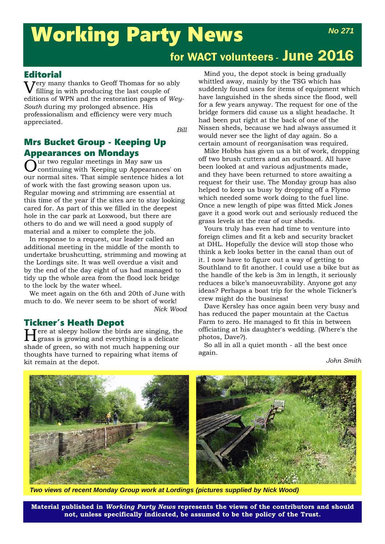# Working Party News

# for WACT volunteers - June 2016

# **Editorial**

 $\sum_{n=1}^{\infty}$  many thanks to Geoff Thomas for so ably filling in with producing the last couple of editions of WPN and the restoration pages of *Wey-South* during my prolonged absence. His professionalism and efficiency were very much appreciated.

*Bill*

# Mrs Bucket Group - Keeping Up **Appearances on Mondays**<br>Our two regular meetings in May saw us

 $\ddot{\mathrm{O}}$ ur two regular meetings in May saw us<br>Continuing with 'Keeping up Appearances' on our normal sites. That simple sentence hides a lot of work with the fast growing season upon us. Regular mowing and strimming are essential at this time of the year if the sites are to stay looking cared for. As part of this we filled in the deepest hole in the car park at Loxwood, but there are others to do and we will need a good supply of material and a mixer to complete the job.

In response to a request, our leader called an additional meeting in the middle of the month to undertake brushcutting, strimming and mowing at the Lordings site. It was well overdue a visit and by the end of the day eight of us had managed to tidy up the whole area from the flood lock bridge to the lock by the water wheel.

We meet again on the 6th and 20th of June with much to do. We never seem to be short of work! *Nick Wood*

**Tickner's Heath Depot**<br>**T** Tere at sleepy hollow the birds are singing, the Here at sleepy hollow the birds are singing, the grass is growing and everything is a delicate shade of green, so with not much happening our thoughts have turned to repairing what items of kit remain at the depot.

Mind you, the depot stock is being gradually whittled away, mainly by the TSG which has suddenly found uses for items of equipment which have languished in the sheds since the flood, well for a few years anyway. The request for one of the bridge formers did cause us a slight headache. It had been put right at the back of one of the Nissen sheds, because we had always assumed it would never see the light of day again. So a certain amount of reorganisation was required.

Mike Hobbs has given us a bit of work, dropping off two brush cutters and an outboard. All have been looked at and various adjustments made, and they have been returned to store awaiting a request for their use. The Monday group has also helped to keep us busy by dropping off a Flymo which needed some work doing to the fuel line. Once a new length of pipe was fitted Mick Jones gave it a good work out and seriously reduced the grass levels at the rear of our sheds.

Yours truly has even had time to venture into foreign climes and fit a keb and security bracket at DHL. Hopefully the device will stop those who think a keb looks better in the canal than out of it. I now have to figure out a way of getting to Southland to fit another. I could use a bike but as the handle of the keb is 3m in length, it seriously reduces a bike's manoeuvrability. Anyone got any ideas? Perhaps a boat trip for the whole Tickner's crew might do the business!

Dave Kersley has once again been very busy and has reduced the paper mountain at the Cactus Farm to zero. He managed to fit this in between officiating at his daughter's wedding. (Where's the photos, Dave?).

So all in all a quiet month - all the best once again.

*John Smith*



*Two views of recent Monday Group work at Lordings (pictures supplied by Nick Wood)*

**Material published in** *Working Party News* **represents the views of the contributors and should not, unless specifically indicated, be assumed to be the policy of the Trust.**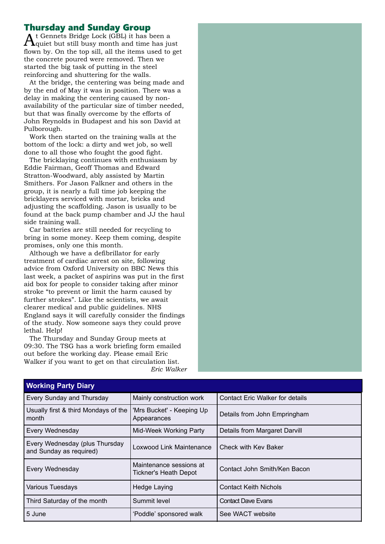## Thursday and Sunday Group

t Gennets Bridge Lock (GBL) it has been a  $\Lambda$ quiet but still busy month and time has just flown by. On the top sill, all the items used to get the concrete poured were removed. Then we started the big task of putting in the steel reinforcing and shuttering for the walls.

At the bridge, the centering was being made and by the end of May it was in position. There was a delay in making the centering caused by nonavailability of the particular size of timber needed, but that was finally overcome by the efforts of John Reynolds in Budapest and his son David at Pulborough.

Work then started on the training walls at the bottom of the lock: a dirty and wet job, so well done to all those who fought the good fight.

The bricklaying continues with enthusiasm by Eddie Fairman, Geoff Thomas and Edward Stratton-Woodward, ably assisted by Martin Smithers. For Jason Falkner and others in the group, it is nearly a full time job keeping the bricklayers serviced with mortar, bricks and adjusting the scaffolding. Jason is usually to be found at the back pump chamber and JJ the haul side training wall.

Car batteries are still needed for recycling to bring in some money. Keep them coming, despite promises, only one this month.

Although we have a defibrillator for early treatment of cardiac arrest on site, following advice from Oxford University on BBC News this last week, a packet of aspirins was put in the first aid box for people to consider taking after minor stroke "to prevent or limit the harm caused by further strokes". Like the scientists, we await clearer medical and public guidelines. NHS England says it will carefully consider the findings of the study. Now someone says they could prove lethal. Help!

The Thursday and Sunday Group meets at 09:30. The TSG has a work briefing form emailed out before the working day. Please email Eric Walker if you want to get on that circulation list. *Eric Walker*

| <b>Working Party Diary</b>                              |                                        |  |  |  |
|---------------------------------------------------------|----------------------------------------|--|--|--|
| Mainly construction work                                | <b>Contact Eric Walker for details</b> |  |  |  |
| 'Mrs Bucket' - Keeping Up<br>Appearances                | Details from John Empringham           |  |  |  |
| Mid-Week Working Party                                  | Details from Margaret Darvill          |  |  |  |
| Loxwood Link Maintenance                                | Check with Key Baker                   |  |  |  |
| Maintenance sessions at<br><b>Tickner's Heath Depot</b> | Contact John Smith/Ken Bacon           |  |  |  |
| Hedge Laying                                            | <b>Contact Keith Nichols</b>           |  |  |  |
| Summit level                                            | <b>Contact Dave Evans</b>              |  |  |  |
| 'Poddle' sponsored walk                                 | See WACT website                       |  |  |  |
|                                                         |                                        |  |  |  |